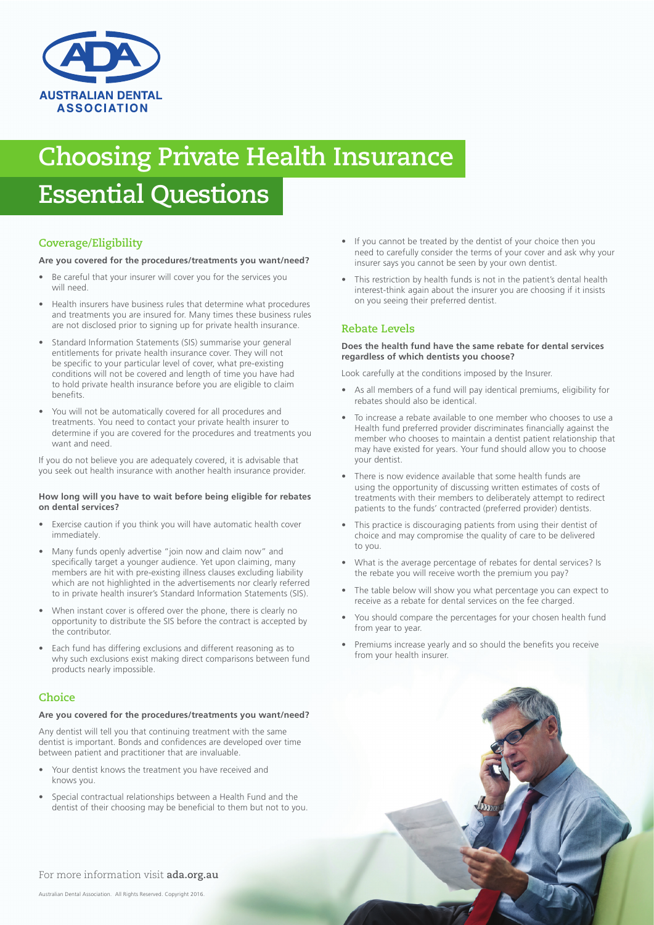

# **Choosing Private Health Insurance Essential Questions**

## **Coverage/Eligibility**

#### **Are you covered for the procedures/treatments you want/need?**

- Be careful that your insurer will cover you for the services you will need.
- Health insurers have business rules that determine what procedures and treatments you are insured for. Many times these business rules are not disclosed prior to signing up for private health insurance.
- Standard Information Statements (SIS) summarise your general entitlements for private health insurance cover. They will not be specific to your particular level of cover, what pre-existing conditions will not be covered and length of time you have had to hold private health insurance before you are eligible to claim benefits.
- You will not be automatically covered for all procedures and treatments. You need to contact your private health insurer to determine if you are covered for the procedures and treatments you want and need.

If you do not believe you are adequately covered, it is advisable that you seek out health insurance with another health insurance provider.

#### **How long will you have to wait before being eligible for rebates on dental services?**

- Exercise caution if you think you will have automatic health cover immediately.
- Many funds openly advertise "join now and claim now" and specifically target a younger audience. Yet upon claiming, many members are hit with pre-existing illness clauses excluding liability which are not highlighted in the advertisements nor clearly referred to in private health insurer's Standard Information Statements (SIS).
- When instant cover is offered over the phone, there is clearly no opportunity to distribute the SIS before the contract is accepted by the contributor.
- Each fund has differing exclusions and different reasoning as to why such exclusions exist making direct comparisons between fund products nearly impossible.

## **Choice**

## **Are you covered for the procedures/treatments you want/need?**

Any dentist will tell you that continuing treatment with the same dentist is important. Bonds and confidences are developed over time between patient and practitioner that are invaluable.

- Your dentist knows the treatment you have received and knows you.
- Special contractual relationships between a Health Fund and the dentist of their choosing may be beneficial to them but not to you.
- If you cannot be treated by the dentist of your choice then you need to carefully consider the terms of your cover and ask why your insurer says you cannot be seen by your own dentist.
- This restriction by health funds is not in the patient's dental health interest-think again about the insurer you are choosing if it insists on you seeing their preferred dentist.

## **Rebate Levels**

#### **Does the health fund have the same rebate for dental services regardless of which dentists you choose?**

Look carefully at the conditions imposed by the Insurer.

- As all members of a fund will pay identical premiums, eligibility for rebates should also be identical.
- To increase a rebate available to one member who chooses to use a Health fund preferred provider discriminates financially against the member who chooses to maintain a dentist patient relationship that may have existed for years. Your fund should allow you to choose your dentist.
- There is now evidence available that some health funds are using the opportunity of discussing written estimates of costs of treatments with their members to deliberately attempt to redirect patients to the funds' contracted (preferred provider) dentists.
- This practice is discouraging patients from using their dentist of choice and may compromise the quality of care to be delivered to you.
- What is the average percentage of rebates for dental services? Is the rebate you will receive worth the premium you pay?
- The table below will show you what percentage you can expect to receive as a rebate for dental services on the fee charged.
- You should compare the percentages for your chosen health fund from year to year.
- Premiums increase yearly and so should the benefits you receive from your health insurer.